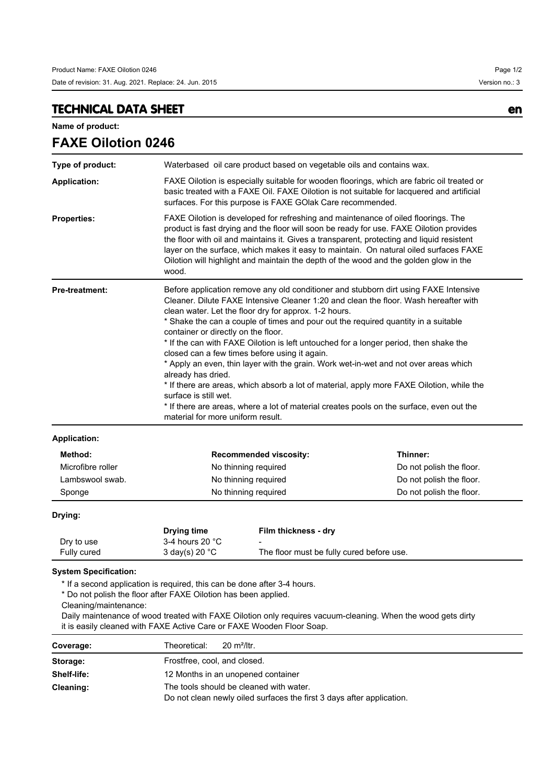## **TECHNICAL DATA SHEET en**

**Name of product:**

| <b>FAXE Oilotion 0246</b> |                                                                                                                                                                                                                                                                                                                                                                                                                                                                                                                                                                                                                                                                                                                                                                                                                                                                                   |                          |  |  |
|---------------------------|-----------------------------------------------------------------------------------------------------------------------------------------------------------------------------------------------------------------------------------------------------------------------------------------------------------------------------------------------------------------------------------------------------------------------------------------------------------------------------------------------------------------------------------------------------------------------------------------------------------------------------------------------------------------------------------------------------------------------------------------------------------------------------------------------------------------------------------------------------------------------------------|--------------------------|--|--|
| Type of product:          | Waterbased oil care product based on vegetable oils and contains wax.                                                                                                                                                                                                                                                                                                                                                                                                                                                                                                                                                                                                                                                                                                                                                                                                             |                          |  |  |
| <b>Application:</b>       | FAXE Oilotion is especially suitable for wooden floorings, which are fabric oil treated or<br>basic treated with a FAXE Oil. FAXE Oilotion is not suitable for lacquered and artificial<br>surfaces. For this purpose is FAXE GOIak Care recommended.                                                                                                                                                                                                                                                                                                                                                                                                                                                                                                                                                                                                                             |                          |  |  |
| <b>Properties:</b>        | FAXE Oilotion is developed for refreshing and maintenance of oiled floorings. The<br>product is fast drying and the floor will soon be ready for use. FAXE Oilotion provides<br>the floor with oil and maintains it. Gives a transparent, protecting and liquid resistent<br>layer on the surface, which makes it easy to maintain. On natural oiled surfaces FAXE<br>Oilotion will highlight and maintain the depth of the wood and the golden glow in the<br>wood.                                                                                                                                                                                                                                                                                                                                                                                                              |                          |  |  |
| <b>Pre-treatment:</b>     | Before application remove any old conditioner and stubborn dirt using FAXE Intensive<br>Cleaner. Dilute FAXE Intensive Cleaner 1:20 and clean the floor. Wash hereafter with<br>clean water. Let the floor dry for approx. 1-2 hours.<br>* Shake the can a couple of times and pour out the required quantity in a suitable<br>container or directly on the floor.<br>* If the can with FAXE Oilotion is left untouched for a longer period, then shake the<br>closed can a few times before using it again.<br>* Apply an even, thin layer with the grain. Work wet-in-wet and not over areas which<br>already has dried.<br>* If there are areas, which absorb a lot of material, apply more FAXE Oilotion, while the<br>surface is still wet.<br>* If there are areas, where a lot of material creates pools on the surface, even out the<br>material for more uniform result. |                          |  |  |
| <b>Application:</b>       |                                                                                                                                                                                                                                                                                                                                                                                                                                                                                                                                                                                                                                                                                                                                                                                                                                                                                   |                          |  |  |
| Method:                   | <b>Recommended viscosity:</b>                                                                                                                                                                                                                                                                                                                                                                                                                                                                                                                                                                                                                                                                                                                                                                                                                                                     | Thinner:                 |  |  |
| Microfibre roller         | No thinning required                                                                                                                                                                                                                                                                                                                                                                                                                                                                                                                                                                                                                                                                                                                                                                                                                                                              | Do not polish the floor. |  |  |
| Lambswool swab.           | No thinning required                                                                                                                                                                                                                                                                                                                                                                                                                                                                                                                                                                                                                                                                                                                                                                                                                                                              | Do not polish the floor. |  |  |
| Sponge                    | No thinning required                                                                                                                                                                                                                                                                                                                                                                                                                                                                                                                                                                                                                                                                                                                                                                                                                                                              | Do not polish the floor. |  |  |

**Drying:**

|             | Drying time               | Film thickness - dry                      |
|-------------|---------------------------|-------------------------------------------|
| Dry to use  | 3-4 hours 20 $^{\circ}$ C | $\overline{\phantom{a}}$                  |
| Fully cured | 3 day(s) 20 $^{\circ}$ C  | The floor must be fully cured before use. |

**System Specification:**

\* If a second application is required, this can be done after 3-4 hours.

\* Do not polish the floor after FAXE Oilotion has been applied.

Cleaning/maintenance:

Daily maintenance of wood treated with FAXE Oilotion only requires vacuum-cleaning. When the wood gets dirty it is easily cleaned with FAXE Active Care or FAXE Wooden Floor Soap.

| Coverage:   | $20 \text{ m}^2$ /ltr.<br>Theoretical:                                                                           |  |
|-------------|------------------------------------------------------------------------------------------------------------------|--|
| Storage:    | Frostfree, cool, and closed.                                                                                     |  |
| Shelf-life: | 12 Months in an unopened container                                                                               |  |
| Cleaning:   | The tools should be cleaned with water.<br>Do not clean newly oiled surfaces the first 3 days after application. |  |